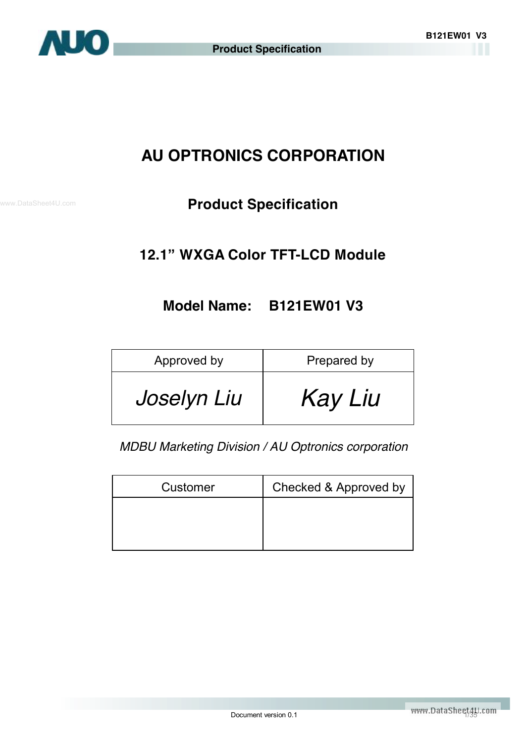

# **AU OPTRONICS CORPORATION**

# **Product Specification**

## **12.1" WXGA Color TFT-LCD Module**

## **Model Name: B121EW01 V3**

| Approved by | Prepared by |  |  |
|-------------|-------------|--|--|
| Joselyn Liu | Kay Liu     |  |  |

*MDBU Marketing Division / AU Optronics corporation*

| Customer | Checked & Approved by |
|----------|-----------------------|
|          |                       |
|          |                       |
|          |                       |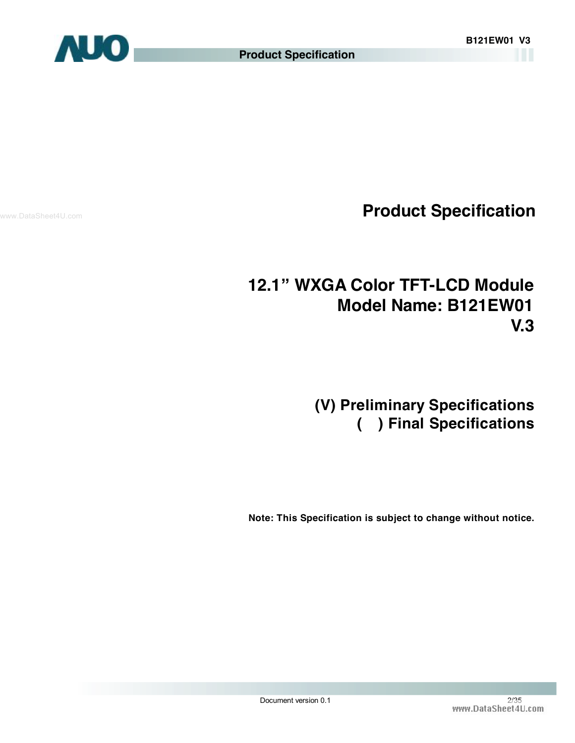

www.DataSheet4U.com

# **12.1" WXGA Color TFT-LCD Module Model Name: B121EW01 V.3**

# **(V) Preliminary Specifications ( ) Final Specifications**

 **Note: This Specification is subject to change without notice.**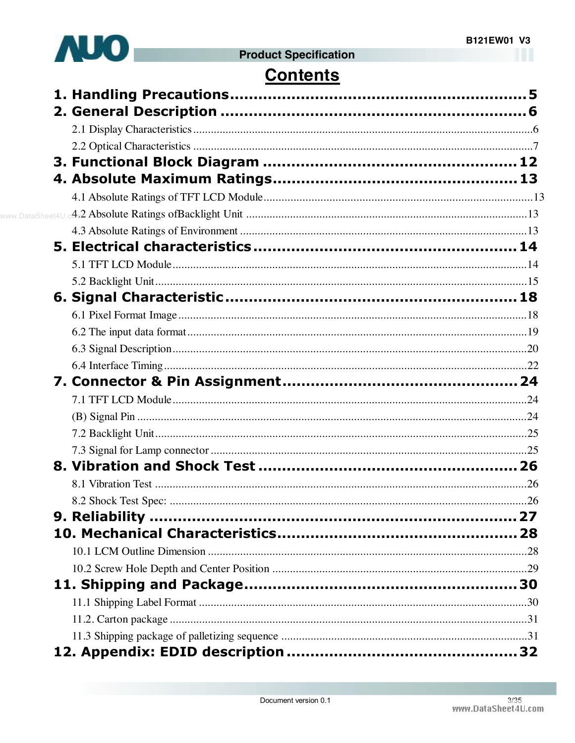

# **Contents**

| www.DataSheet4U |  |
|-----------------|--|
|                 |  |
|                 |  |
|                 |  |
|                 |  |
|                 |  |
|                 |  |
|                 |  |
|                 |  |
|                 |  |
|                 |  |
|                 |  |
|                 |  |
|                 |  |
|                 |  |
|                 |  |
|                 |  |
|                 |  |
|                 |  |
|                 |  |
|                 |  |
|                 |  |
|                 |  |
|                 |  |
|                 |  |
|                 |  |
|                 |  |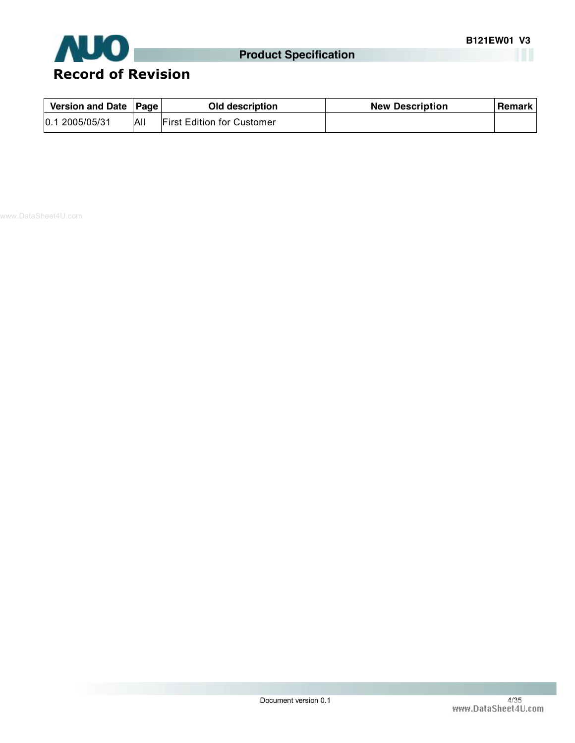

| Version and Date   Page |     | <b>Old description</b>            | <b>New Description</b> | <b>Remark</b> |
|-------------------------|-----|-----------------------------------|------------------------|---------------|
| 0.12005/05/31           | All | <b>First Edition for Customer</b> |                        |               |

www.DataSheet4U.com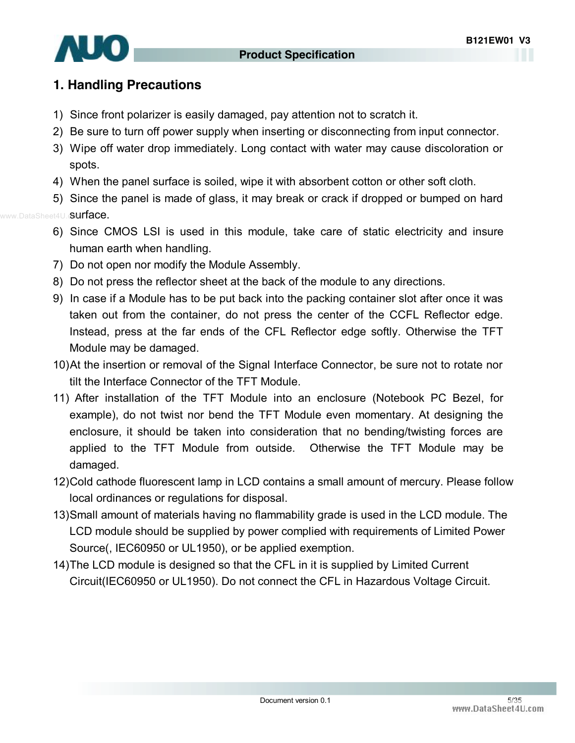

### **1. Handling Precautions**

- 1) Since front polarizer is easily damaged, pay attention not to scratch it.
- 2) Be sure to turn off power supply when inserting or disconnecting from input connector.
- 3) Wipe off water drop immediately. Long contact with water may cause discoloration or spots.
- 4) When the panel surface is soiled, wipe it with absorbent cotton or other soft cloth.

5) Since the panel is made of glass, it may break or crack if dropped or bumped on hard

- www.DataSheet4U.c**Surface.** 
	- 6) Since CMOS LSI is used in this module, take care of static electricity and insure human earth when handling.
	- 7) Do not open nor modify the Module Assembly.
	- 8) Do not press the reflector sheet at the back of the module to any directions.
	- 9) In case if a Module has to be put back into the packing container slot after once it was taken out from the container, do not press the center of the CCFL Reflector edge. Instead, press at the far ends of the CFL Reflector edge softly. Otherwise the TFT Module may be damaged.
	- 10)At the insertion or removal of the Signal Interface Connector, be sure not to rotate nor tilt the Interface Connector of the TFT Module.
	- 11) After installation of the TFT Module into an enclosure (Notebook PC Bezel, for example), do not twist nor bend the TFT Module even momentary. At designing the enclosure, it should be taken into consideration that no bending/twisting forces are applied to the TFT Module from outside. Otherwise the TFT Module may be damaged.
	- 12)Cold cathode fluorescent lamp in LCD contains a small amount of mercury. Please follow local ordinances or regulations for disposal.
	- 13)Small amount of materials having no flammability grade is used in the LCD module. The LCD module should be supplied by power complied with requirements of Limited Power Source(, IEC60950 or UL1950), or be applied exemption.
	- 14)The LCD module is designed so that the CFL in it is supplied by Limited Current Circuit(IEC60950 or UL1950). Do not connect the CFL in Hazardous Voltage Circuit.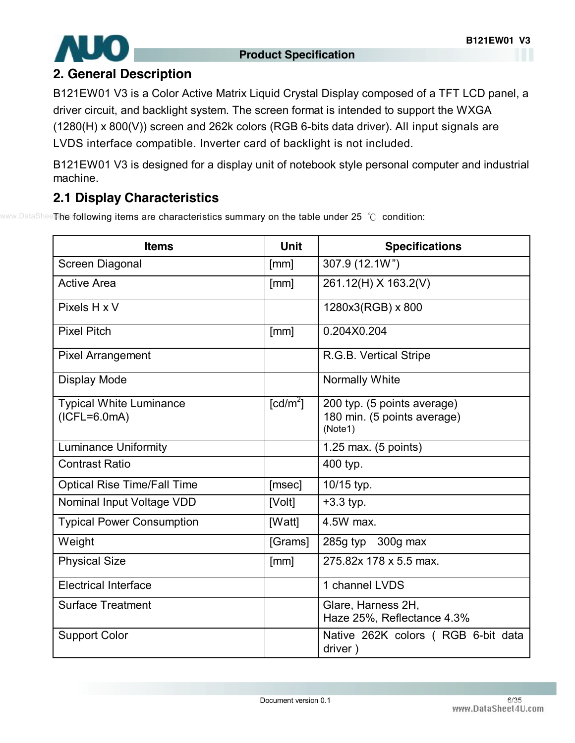

### **2. General Description**

B121EW01 V3 is a Color Active Matrix Liquid Crystal Display composed of a TFT LCD panel, a driver circuit, and backlight system. The screen format is intended to support the WXGA (1280(H) x 800(V)) screen and 262k colors (RGB 6-bits data driver). All input signals are LVDS interface compatible. Inverter card of backlight is not included.

B121EW01 V3 is designed for a display unit of notebook style personal computer and industrial machine.

## **2.1 Display Characteristics**

www.DataShee**The following items are characteristics summary on the table under 25 ℃ condition:** 

| <b>Items</b>                                     | <b>Unit</b>            | <b>Specifications</b>                                                 |
|--------------------------------------------------|------------------------|-----------------------------------------------------------------------|
| Screen Diagonal                                  | [mm]                   | 307.9 (12.1W")                                                        |
| <b>Active Area</b>                               | [mm]                   | 261.12(H) X 163.2(V)                                                  |
| Pixels H x V                                     |                        | 1280x3(RGB) x 800                                                     |
| <b>Pixel Pitch</b>                               | [mm]                   | 0.204X0.204                                                           |
| <b>Pixel Arrangement</b>                         |                        | R.G.B. Vertical Stripe                                                |
| <b>Display Mode</b>                              |                        | Normally White                                                        |
| <b>Typical White Luminance</b><br>$(ICFL=6.0mA)$ | $\lceil cd/m^2 \rceil$ | 200 typ. (5 points average)<br>180 min. (5 points average)<br>(Note1) |
| <b>Luminance Uniformity</b>                      |                        | 1.25 max. $(5 \text{ points})$                                        |
| <b>Contrast Ratio</b>                            |                        | 400 typ.                                                              |
| <b>Optical Rise Time/Fall Time</b>               | [msec]                 | 10/15 typ.                                                            |
| Nominal Input Voltage VDD                        | [Volt]                 | $+3.3$ typ.                                                           |
| <b>Typical Power Consumption</b>                 | [Watt]                 | 4.5W max.                                                             |
| Weight                                           | [Grams]                | 285g typ $300g$ max                                                   |
| <b>Physical Size</b>                             | [mm]                   | 275.82x 178 x 5.5 max.                                                |
| <b>Electrical Interface</b>                      |                        | 1 channel LVDS                                                        |
| <b>Surface Treatment</b>                         |                        | Glare, Harness 2H,<br>Haze 25%, Reflectance 4.3%                      |
| <b>Support Color</b>                             |                        | Native 262K colors (RGB 6-bit data<br>driver)                         |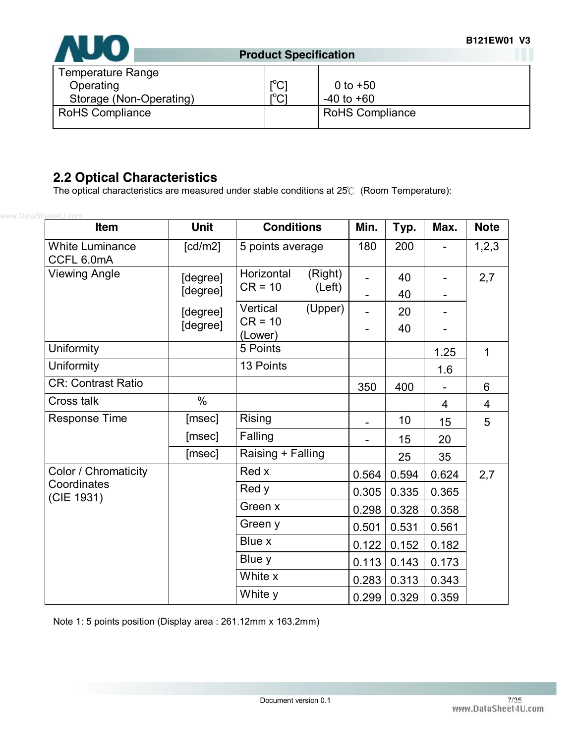

| Temperature Range<br>Operating<br>Storage (Non-Operating) | $\mathsf{I}^{\circ}$ C)<br>$r^0$ $\cap$ 1 | 0 to $+50$<br>$-40$ to $+60$ |
|-----------------------------------------------------------|-------------------------------------------|------------------------------|
|                                                           | ◡                                         |                              |
| <b>RoHS Compliance</b>                                    |                                           | <b>RoHS Compliance</b>       |

### **2.2 Optical Characteristics**

The optical characteristics are measured under stable conditions at 25℃ (Room Temperature):

| www.DataSheet4U.com<br>Item          | <b>Unit</b>           | <b>Conditions</b>     | Min.  | Typ.            | Max.                     | <b>Note</b> |
|--------------------------------------|-----------------------|-----------------------|-------|-----------------|--------------------------|-------------|
| <b>White Luminance</b><br>CCFL 6.0mA | $\lceil cd/m2 \rceil$ | 5 points average      | 180   | 200             | $\overline{\phantom{0}}$ | 1, 2, 3     |
| <b>Viewing Angle</b>                 | [degree]              | Horizontal<br>(Right) |       | 40              |                          | 2,7         |
|                                      | [degree]              | $CR = 10$<br>(Left)   |       | 40              |                          |             |
|                                      | [degree]              | Vertical<br>(Upper)   |       | 20              |                          |             |
|                                      | [degree]              | $CR = 10$<br>(Lower)  |       | 40              |                          |             |
| Uniformity                           |                       | 5 Points              |       |                 | 1.25                     | $\mathbf 1$ |
| Uniformity                           |                       | 13 Points             |       |                 | 1.6                      |             |
| <b>CR: Contrast Ratio</b>            |                       |                       | 350   | 400             |                          | 6           |
| Cross talk                           | $\%$                  |                       |       |                 | 4                        | 4           |
| <b>Response Time</b>                 | [msec]                | Rising                |       | 10 <sup>1</sup> | 15                       | 5           |
|                                      | [msec]                | Falling               |       | 15              | 20                       |             |
|                                      | [msec]                | Raising + Falling     |       | 25              | 35                       |             |
| Color / Chromaticity                 |                       | Red x                 | 0.564 | 0.594           | 0.624                    | 2,7         |
| Coordinates<br>(CIE 1931)            |                       | Red y                 | 0.305 | 0.335           | 0.365                    |             |
|                                      |                       | Green x               | 0.298 | 0.328           | 0.358                    |             |
|                                      |                       | Green y               | 0.501 | 0.531           | 0.561                    |             |
|                                      |                       | Blue x                | 0.122 | 0.152           | 0.182                    |             |
|                                      |                       | Blue y                | 0.113 | 0.143           | 0.173                    |             |
|                                      |                       | White x               | 0.283 | 0.313           | 0.343                    |             |
|                                      |                       | White y               | 0.299 | 0.329           | 0.359                    |             |

Note 1: 5 points position (Display area : 261.12mm x 163.2mm)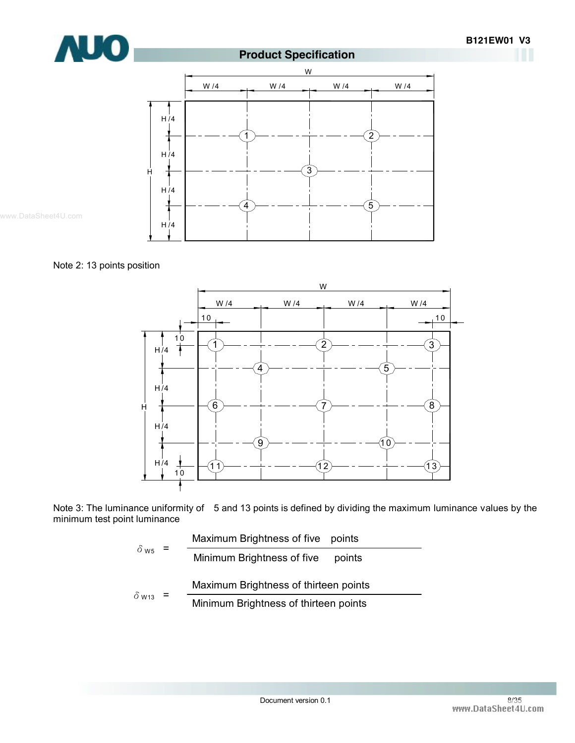









Note 3: The luminance uniformity of 5 and 13 points is defined by dividing the maximum luminance values by the minimum test point luminance

|                          | Maximum Brightness of five points |                                       |  |  |  |
|--------------------------|-----------------------------------|---------------------------------------|--|--|--|
| $\delta$ ws              |                                   | Minimum Brightness of five<br>points  |  |  |  |
|                          |                                   | Maximum Brightness of thirteen points |  |  |  |
| $\delta$ W <sub>13</sub> |                                   | Minimum Brightness of thirteen points |  |  |  |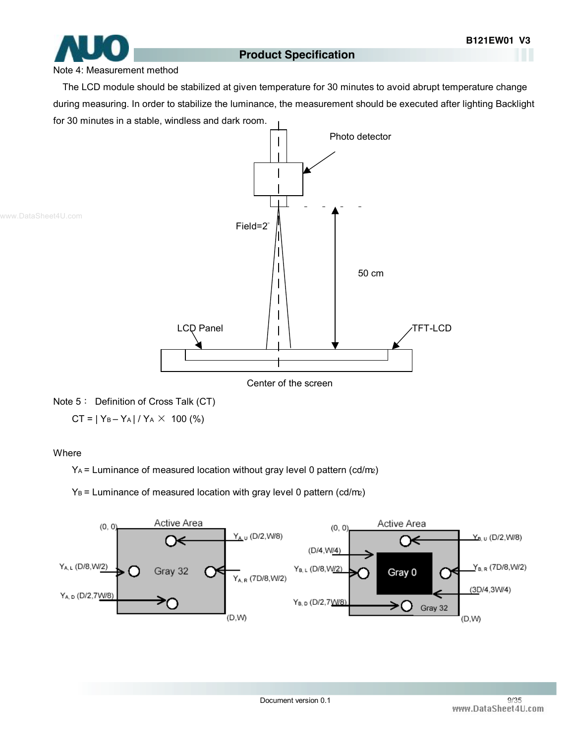#### Note 4: Measurement method

The LCD module should be stabilized at given temperature for 30 minutes to avoid abrupt temperature change during measuring. In order to stabilize the luminance, the measurement should be executed after lighting Backlight for 30 minutes in a stable, windless and dark room.



#### Note 5: Definition of Cross Talk (CT)

 $CT = |Y_B - Y_A| / Y_A \times 100$  (%)

#### **Where**

 $Y_A$  = Luminance of measured location without gray level 0 pattern (cd/m2)

 $Y_B$  = Luminance of measured location with gray level 0 pattern (cd/m2)

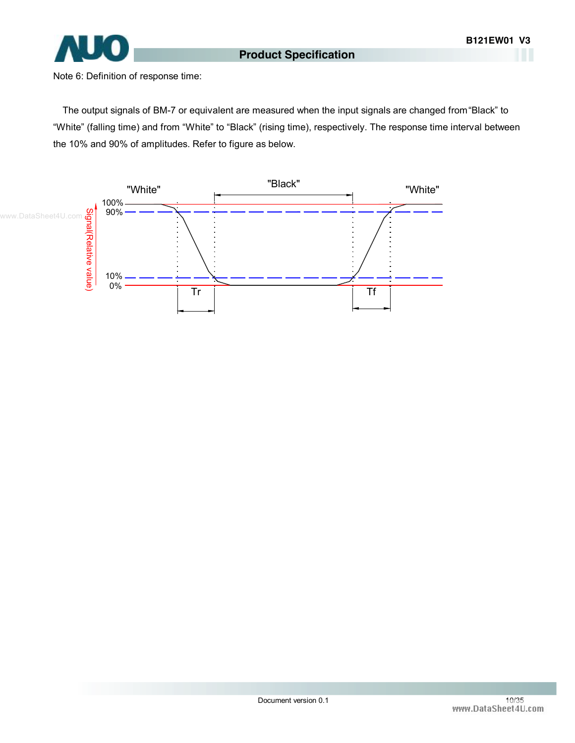

Note 6: Definition of response time:

The output signals of BM-7 or equivalent are measured when the input signals are changed from "Black" to "White" (falling time) and from "White" to "Black" (rising time), respectively. The response time interval between the 10% and 90% of amplitudes. Refer to figure as below.

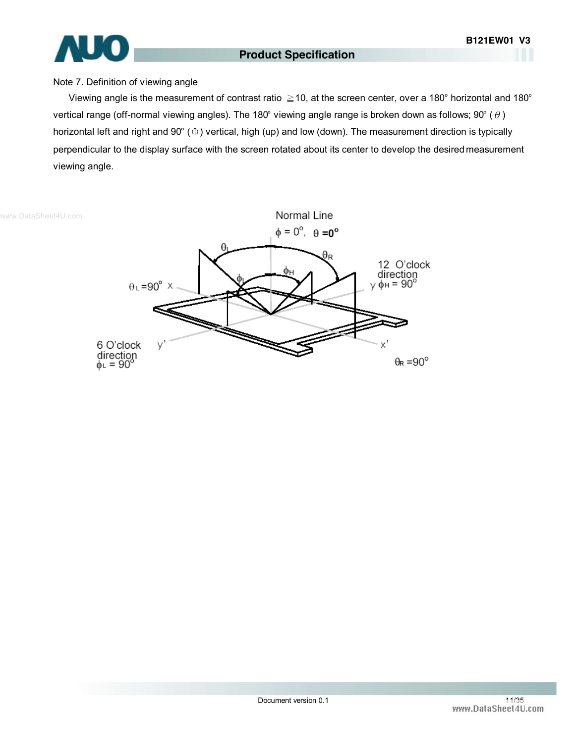

#### Note 7. Definition of viewing angle

Viewing angle is the measurement of contrast ratio ≧10, at the screen center, over a 180° horizontal and 180° vertical range (off-normal viewing angles). The 180° viewing angle range is broken down as follows; 90° ( $\theta$ ) horizontal left and right and 90° (Φ) vertical, high (up) and low (down). The measurement direction is typically perpendicular to the display surface with the screen rotated about its center to develop the desired measurement viewing angle.



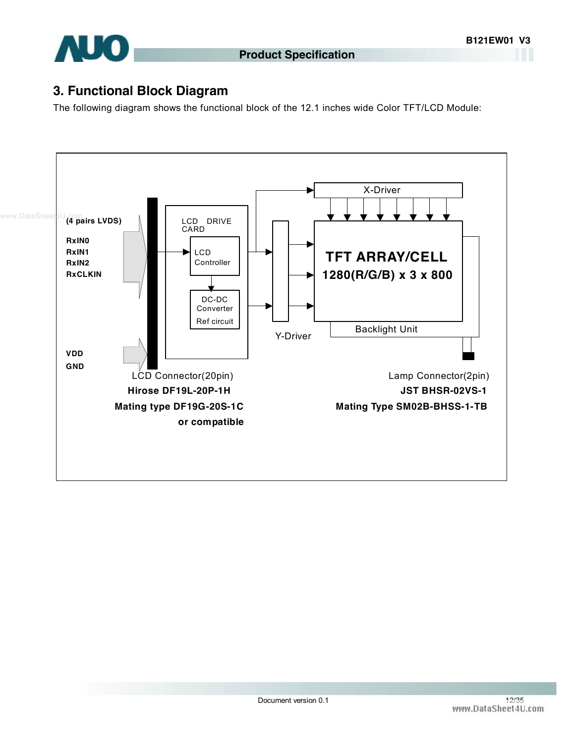

### **3. Functional Block Diagram**

The following diagram shows the functional block of the 12.1 inches wide Color TFT/LCD Module:

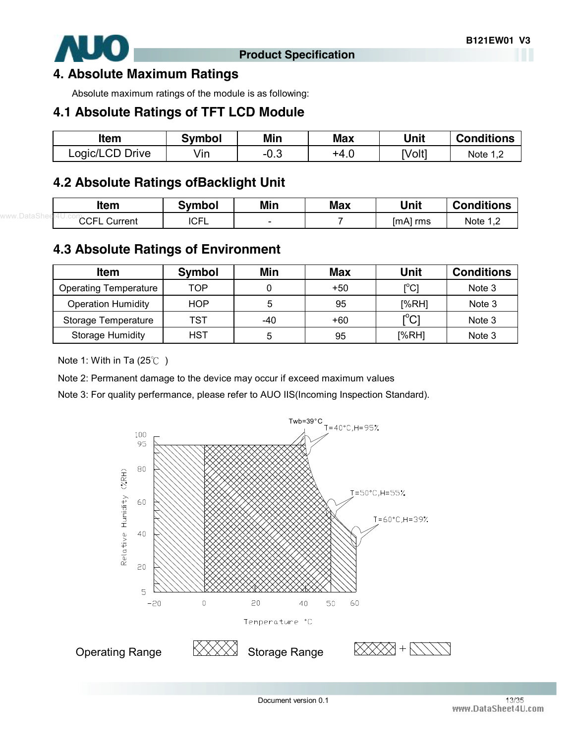

#### **4. Absolute Maximum Ratings**

Absolute maximum ratings of the module is as following:

### **4.1 Absolute Ratings of TFT LCD Module**

| ltem            | Svmbol | Min  | <b>Max</b> | Unit   | <b>Conditions</b> |
|-----------------|--------|------|------------|--------|-------------------|
| Logic/LCD Drive | vın    | −∪.∪ | +4.∪       | [Volt] | Note 1            |

### **4.2 Absolute Ratings ofBacklight Unit**

| <b>Item</b>         | <b>Symbol</b> | Min | <b>Max</b> | Unit     | <b>Conditions</b> |
|---------------------|---------------|-----|------------|----------|-------------------|
| <b>CCFL Current</b> | <b>ICFL</b>   | -   |            | [mA] rms | Note $1,2$        |
|                     |               |     |            |          |                   |

### **4.3 Absolute Ratings of Environment**

| <b>Item</b>                  | <b>Symbol</b> | Min | <b>Max</b> | Unit                                        | <b>Conditions</b> |
|------------------------------|---------------|-----|------------|---------------------------------------------|-------------------|
| <b>Operating Temperature</b> | TOP           |     | $+50$      | [°C]                                        | Note 3            |
| <b>Operation Humidity</b>    | <b>HOP</b>    | 5   | 95         | [%RH]                                       | Note 3            |
| Storage Temperature          | TST           | -40 | +60        | $\mathop{\rm l\mskip -3.5mu\rm C}\nolimits$ | Note 3            |
| Storage Humidity             | HST           | 5   | 95         | [%RH]                                       | Note 3            |

Note 1: With in Ta (25℃ )

Note 2: Permanent damage to the device may occur if exceed maximum values

Note 3: For quality perfermance, please refer to AUO IIS(Incoming Inspection Standard).

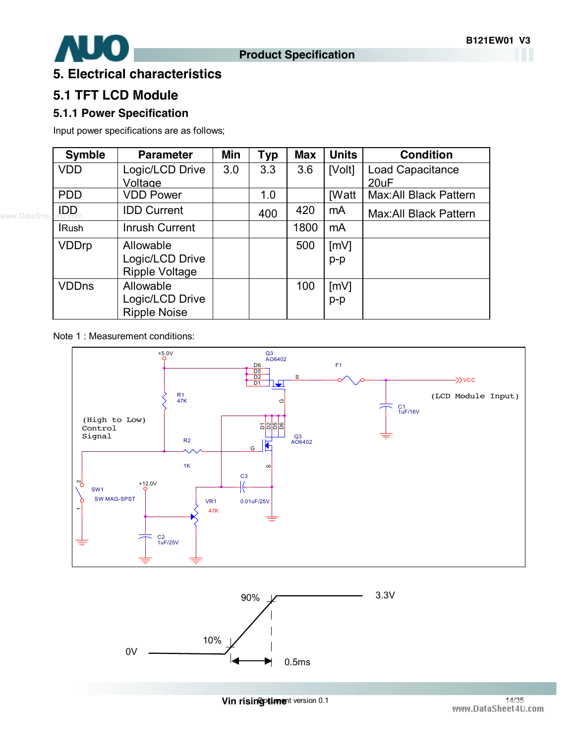

### **5. Electrical characteristics**

### **5.1 TFT LCD Module**

#### **5.1.1 Power Specification**

Input power specifications are as follows;

| <b>Symble</b> | <b>Parameter</b>      | Min | <b>Typ</b> | <b>Max</b> | <b>Units</b> | <b>Condition</b>             |
|---------------|-----------------------|-----|------------|------------|--------------|------------------------------|
| <b>VDD</b>    | Logic/LCD Drive       | 3.0 | 3.3        | 3.6        | [Volt]       | Load Capacitance             |
|               | Voltage               |     |            |            |              | 20uF                         |
| <b>PDD</b>    | <b>VDD Power</b>      |     | 1.0        |            | <b>[Watt</b> | Max: All Black Pattern       |
| <b>IDD</b>    | <b>IDD Current</b>    |     | 400        | 420        | mA           | <b>Max:All Black Pattern</b> |
| <b>IRush</b>  | <b>Inrush Current</b> |     |            | 1800       | mA           |                              |
| <b>VDDrp</b>  | Allowable             |     |            | 500        | [mV]         |                              |
|               | Logic/LCD Drive       |     |            |            | p-p          |                              |
|               | <b>Ripple Voltage</b> |     |            |            |              |                              |
| <b>VDDns</b>  | Allowable             |     |            | 100        | [mV]         |                              |
|               | Logic/LCD Drive       |     |            |            | $p-p$        |                              |
|               | <b>Ripple Noise</b>   |     |            |            |              |                              |

Note 1 : Measurement conditions:





**Domestian in the set of the set of the set of the set of the set of the set of the set of the set of the set of the set of the set of the set of the set of the set of the set of the set of the set of the set of the set of**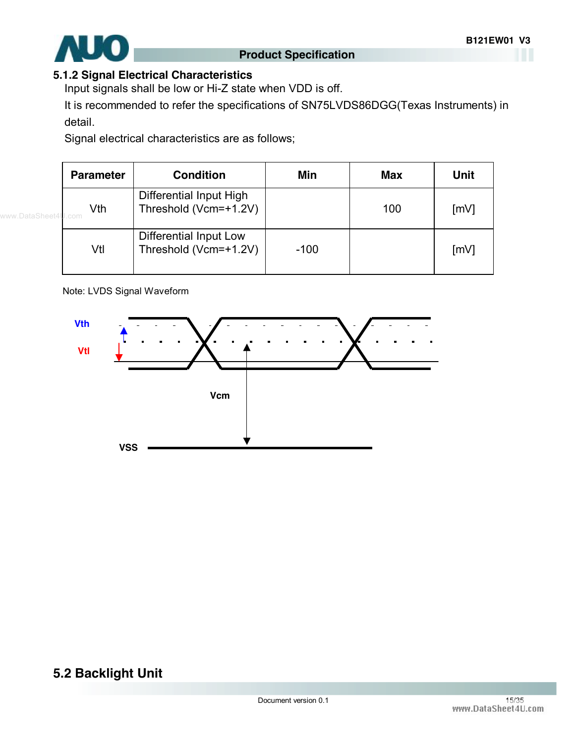

#### **5.1.2 Signal Electrical Characteristics**

Input signals shall be low or Hi-Z state when VDD is off.

It is recommended to refer the specifications of SN75LVDS86DGG(Texas Instruments) in detail.

Signal electrical characteristics are as follows;

| <b>Parameter</b>          | <b>Condition</b>                                 | Min    | <b>Max</b> | <b>Unit</b>        |
|---------------------------|--------------------------------------------------|--------|------------|--------------------|
| Vth<br>eet4 <b>U</b> .com | Differential Input High<br>Threshold (Vcm=+1.2V) |        | 100        | [mV]               |
| Vtl                       | Differential Input Low<br>Threshold (Vcm=+1.2V)  | $-100$ |            | $\lceil mV \rceil$ |

Note: LVDS Signal Waveform



## **5.2 Backlight Unit**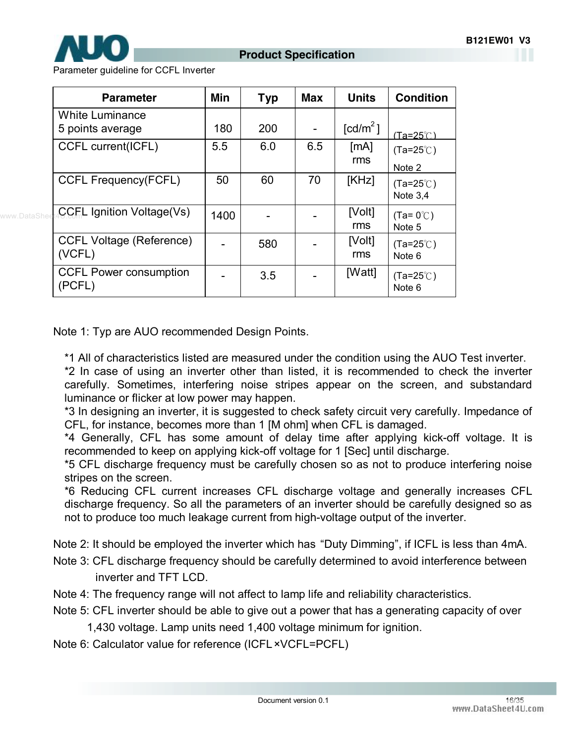

Parameter guideline for CCFL Inverter

| <b>Parameter</b>                           | Min  | <b>Typ</b> | <b>Max</b> | <b>Units</b>         | <b>Condition</b>                 |
|--------------------------------------------|------|------------|------------|----------------------|----------------------------------|
| <b>White Luminance</b><br>5 points average | 180  | 200        |            | [cd/m <sup>2</sup> ] | $(Ta=25^\circ \cap)$             |
| CCFL current(ICFL)                         | 5.5  | 6.0        | 6.5        | [mA]<br>rms          | $(Ta=25^{\circ}C)$<br>Note 2     |
| <b>CCFL Frequency(FCFL)</b>                | 50   | 60         | 70         | [KHz]                | $(Ta=25^{\circ}C)$<br>Note $3,4$ |
| <b>CCEL Ignition Voltage(Vs)</b>           | 1400 |            |            | [Volt]<br>rms        | $(Ta=0^{\circ}C)$<br>Note 5      |
| <b>CCFL Voltage (Reference)</b><br>(VCFL)  |      | 580        |            | [Volt]<br>rms        | $(Ta=25^{\circ}C)$<br>Note 6     |
| <b>CCFL Power consumption</b><br>(PCFL)    |      | 3.5        |            | [Watt]               | $(Ta=25^{\circ}C)$<br>Note 6     |

Note 1: Typ are AUO recommended Design Points.

\*1 All of characteristics listed are measured under the condition using the AUO Test inverter.

\*2 In case of using an inverter other than listed, it is recommended to check the inverter carefully. Sometimes, interfering noise stripes appear on the screen, and substandard luminance or flicker at low power may happen.

\*3 In designing an inverter, it is suggested to check safety circuit very carefully. Impedance of CFL, for instance, becomes more than 1 [M ohm] when CFL is damaged.

\*4 Generally, CFL has some amount of delay time after applying kick-off voltage. It is recommended to keep on applying kick-off voltage for 1 [Sec] until discharge.

\*5 CFL discharge frequency must be carefully chosen so as not to produce interfering noise stripes on the screen.

\*6 Reducing CFL current increases CFL discharge voltage and generally increases CFL discharge frequency. So all the parameters of an inverter should be carefully designed so as not to produce too much leakage current from high-voltage output of the inverter.

Note 2: It should be employed the inverter which has "Duty Dimming", if ICFL is less than 4mA.

- Note 3: CFL discharge frequency should be carefully determined to avoid interference between inverter and TFT LCD.
- Note 4: The frequency range will not affect to lamp life and reliability characteristics.
- Note 5: CFL inverter should be able to give out a power that has a generating capacity of over

1,430 voltage. Lamp units need 1,400 voltage minimum for ignition.

Note 6: Calculator value for reference (ICFL×VCFL=PCFL)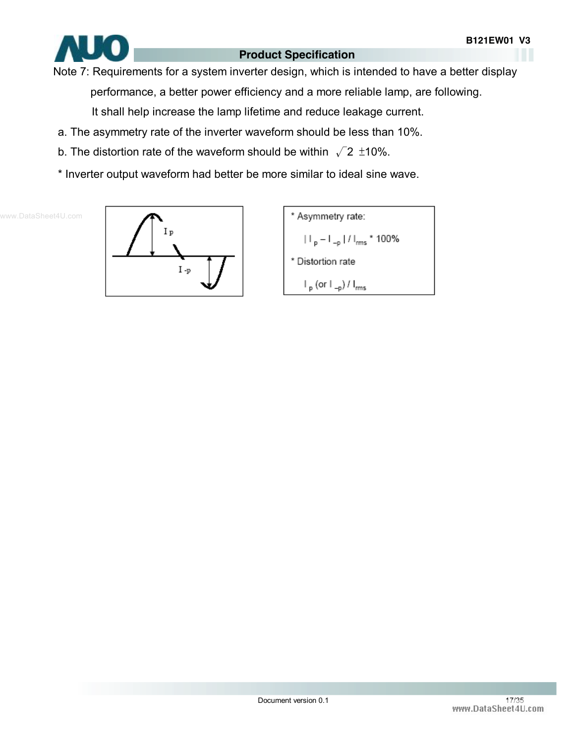

Note 7: Requirements for a system inverter design, which is intended to have a better display

performance, a better power efficiency and a more reliable lamp, are following.

It shall help increase the lamp lifetime and reduce leakage current.

- a. The asymmetry rate of the inverter waveform should be less than 10%.
- b. The distortion rate of the waveform should be within  $\sqrt{2}$  ±10%.
- \* Inverter output waveform had better be more similar to ideal sine wave.



\* Asymmetry rate:  $\left| \ \right|_p - \left| \ \right|_{-p} \left| / \ \right|_{rms}$  \* 100% \* Distortion rate  $\mathsf{I}_{\mathsf{p}}$  (or  $\mathsf{I}_{\mathsf{-p}}$ ) /  $\mathsf{I}_{\mathsf{rms}}$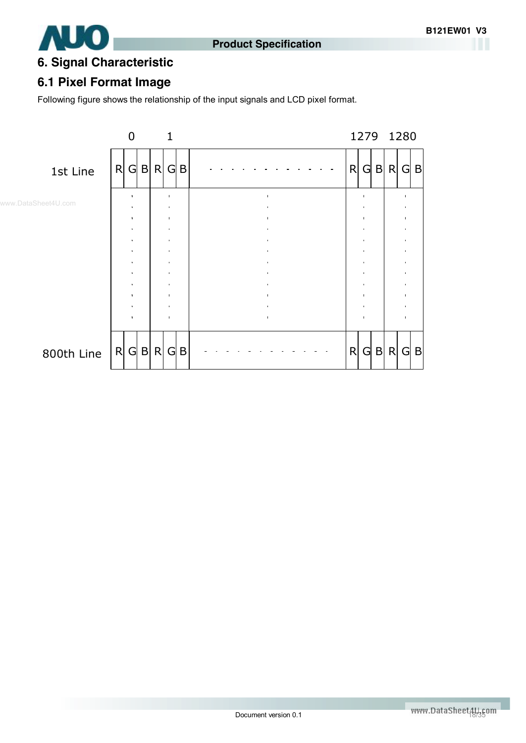



## **6. Signal Characteristic**

### **6.1 Pixel Format Image**

Following figure shows the relationship of the input signals and LCD pixel format.

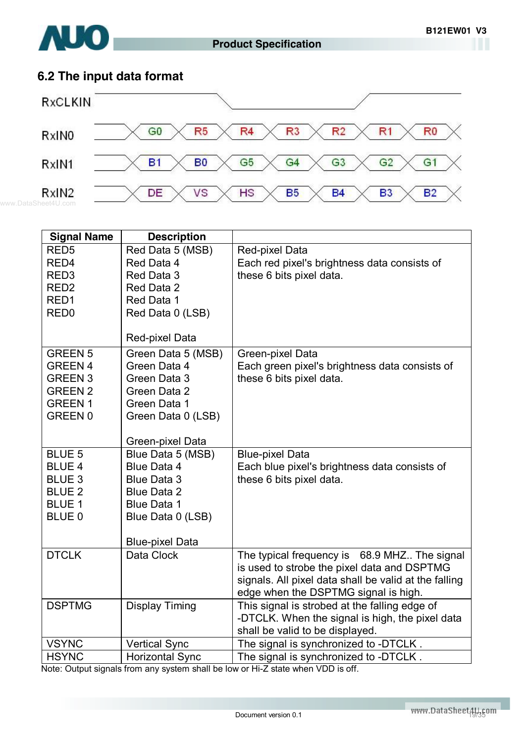

## **6.2 The input data format**



| <b>Signal Name</b>              | <b>Description</b>           |                                                       |
|---------------------------------|------------------------------|-------------------------------------------------------|
| RED <sub>5</sub>                | Red Data 5 (MSB)             | Red-pixel Data                                        |
| RED4                            | Red Data 4                   | Each red pixel's brightness data consists of          |
| RED <sub>3</sub>                | Red Data 3                   | these 6 bits pixel data.                              |
| RED <sub>2</sub>                | Red Data 2                   |                                                       |
| RED <sub>1</sub>                | Red Data 1                   |                                                       |
| RED <sub>0</sub>                | Red Data 0 (LSB)             |                                                       |
|                                 |                              |                                                       |
|                                 | Red-pixel Data               |                                                       |
| <b>GREEN 5</b>                  | Green Data 5 (MSB)           | Green-pixel Data                                      |
| <b>GREEN 4</b>                  | Green Data 4                 | Each green pixel's brightness data consists of        |
| <b>GREEN 3</b>                  | Green Data 3                 | these 6 bits pixel data.                              |
| <b>GREEN 2</b><br><b>GREEN1</b> | Green Data 2<br>Green Data 1 |                                                       |
| GREEN 0                         | Green Data 0 (LSB)           |                                                       |
|                                 |                              |                                                       |
|                                 | Green-pixel Data             |                                                       |
| <b>BLUE 5</b>                   | Blue Data 5 (MSB)            | <b>Blue-pixel Data</b>                                |
| <b>BLUE 4</b>                   | Blue Data 4                  | Each blue pixel's brightness data consists of         |
| <b>BLUE 3</b>                   | <b>Blue Data 3</b>           | these 6 bits pixel data.                              |
| <b>BLUE 2</b>                   | <b>Blue Data 2</b>           |                                                       |
| <b>BLUE 1</b>                   | <b>Blue Data 1</b>           |                                                       |
| BLUE <sub>0</sub>               | Blue Data 0 (LSB)            |                                                       |
|                                 |                              |                                                       |
|                                 | <b>Blue-pixel Data</b>       |                                                       |
| <b>DTCLK</b>                    | Data Clock                   | The typical frequency is 68.9 MHZ. The signal         |
|                                 |                              | is used to strobe the pixel data and DSPTMG           |
|                                 |                              | signals. All pixel data shall be valid at the falling |
|                                 |                              | edge when the DSPTMG signal is high.                  |
| <b>DSPTMG</b>                   | <b>Display Timing</b>        | This signal is strobed at the falling edge of         |
|                                 |                              | -DTCLK. When the signal is high, the pixel data       |
|                                 |                              | shall be valid to be displayed.                       |
| <b>VSYNC</b>                    | <b>Vertical Sync</b>         | The signal is synchronized to -DTCLK.                 |
| <b>HSYNC</b>                    | <b>Horizontal Sync</b>       | The signal is synchronized to -DTCLK.                 |

Note: Output signals from any system shall be low or Hi-Z state when VDD is off.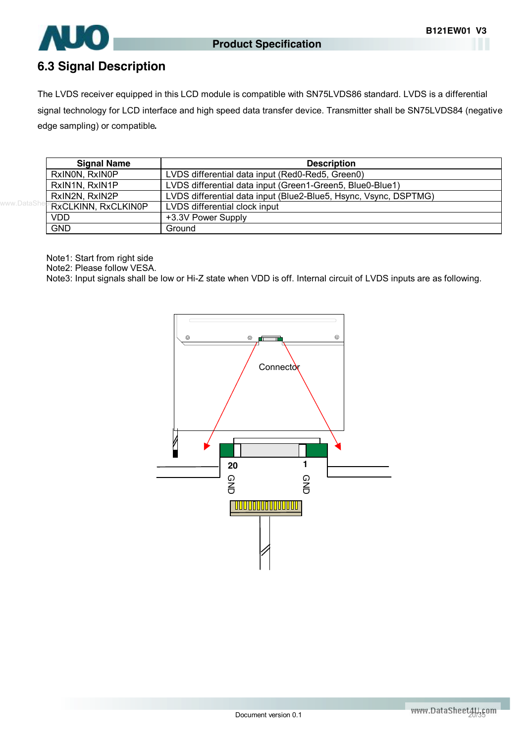

### **6.3 Signal Description**

The LVDS receiver equipped in this LCD module is compatible with SN75LVDS86 standard. LVDS is a differential signal technology for LCD interface and high speed data transfer device. Transmitter shall be SN75LVDS84 (negative edge sampling) or compatible**.** 

| <b>Signal Name</b>         | <b>Description</b>                                               |
|----------------------------|------------------------------------------------------------------|
| RxINON, RxINOP             | LVDS differential data input (Red0-Red5, Green0)                 |
| RxIN1N, RxIN1P             | LVDS differential data input (Green1-Green5, Blue0-Blue1)        |
| RxIN2N, RxIN2P             | LVDS differential data input (Blue2-Blue5, Hsync, Vsync, DSPTMG) |
| <b>RXCLKINN, RXCLKIN0P</b> | LVDS differential clock input                                    |
| <b>VDD</b>                 | +3.3V Power Supply                                               |
| <b>GND</b>                 | Ground                                                           |

Note1: Start from right side

Note2: Please follow VESA.

Note3: Input signals shall be low or Hi-Z state when VDD is off. Internal circuit of LVDS inputs are as following.

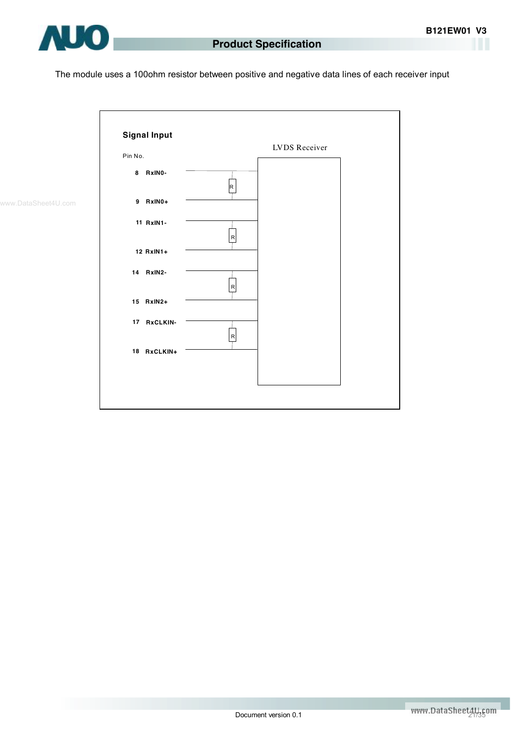

The module uses a 100ohm resistor between positive and negative data lines of each receiver input



www.DataSheet4U.com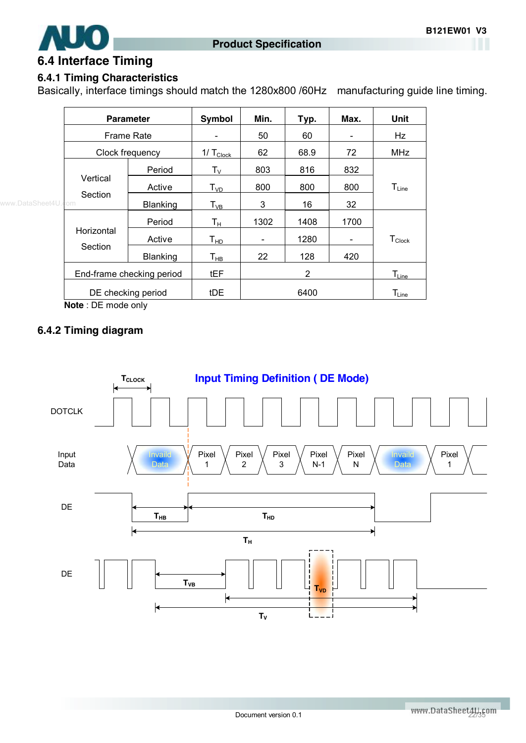

### **6.4 Interface Timing**

#### **6.4.1 Timing Characteristics**

Basically, interface timings should match the 1280x800 /60Hz manufacturing guide line timing.

|           |                           | <b>Parameter</b>   | Symbol                        | Min.                     | Typ. | Max. | <b>Unit</b>        |
|-----------|---------------------------|--------------------|-------------------------------|--------------------------|------|------|--------------------|
|           | Frame Rate                |                    |                               | 50                       | 60   |      | Hz                 |
|           | Clock frequency           |                    | $1/\mathsf{T}_{\text{Clock}}$ | 62                       | 68.9 | 72   | <b>MHz</b>         |
|           |                           | Period             | $\mathsf{T}_\mathsf{V}$       | 803                      | 816  | 832  |                    |
|           | Vertical                  | Active             | $T_{VD}$                      | 800                      | 800  | 800  | $T_{Line}$         |
| eet4U.com | Section                   | Blanking           | $\mathsf{T}_{\mathsf{VB}}$    | 3                        | 16   | 32   |                    |
|           |                           | Period             | Tн                            | 1302                     | 1408 | 1700 |                    |
|           | Horizontal<br>Section     | Active             | Т <sub>нр</sub>               | $\overline{\phantom{a}}$ | 1280 | -    | $T_{\text{Clock}}$ |
|           |                           | <b>Blanking</b>    | $\mathsf{T}_{\mathsf{HB}}$    | 22                       | 128  | 420  |                    |
|           | End-frame checking period |                    | <b>tEF</b>                    |                          | 2    |      | $T_{Line}$         |
|           |                           | DE checking period | tDE                           |                          | 6400 |      | $T_{Line}$         |

**Note** : DE mode only

#### **6.4.2 Timing diagram**

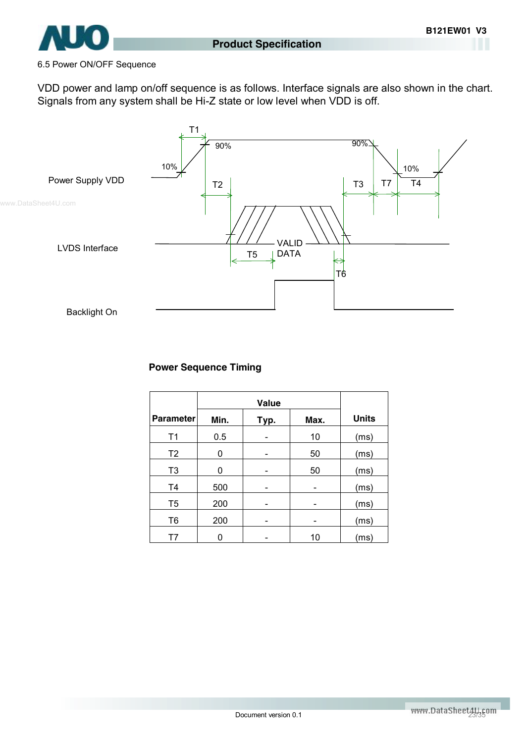

#### 6.5 Power ON/OFF Sequence

VDD power and lamp on/off sequence is as follows. Interface signals are also shown in the chart. Signals from any system shall be Hi-Z state or low level when VDD is off.



#### **Power Sequence Timing**

|                  | <b>Value</b> |      |      |              |
|------------------|--------------|------|------|--------------|
| <b>Parameter</b> | Min.         | Typ. | Max. | <b>Units</b> |
| T <sub>1</sub>   | 0.5          |      | 10   | (ms)         |
| T <sub>2</sub>   | 0            |      | 50   | (ms)         |
| T <sub>3</sub>   | 0            |      | 50   | (ms)         |
| T <sub>4</sub>   | 500          |      |      | (ms)         |
| T <sub>5</sub>   | 200          |      |      | (ms)         |
| T <sub>6</sub>   | 200          |      |      | (ms)         |
| T7               |              |      | 10   | (ms)         |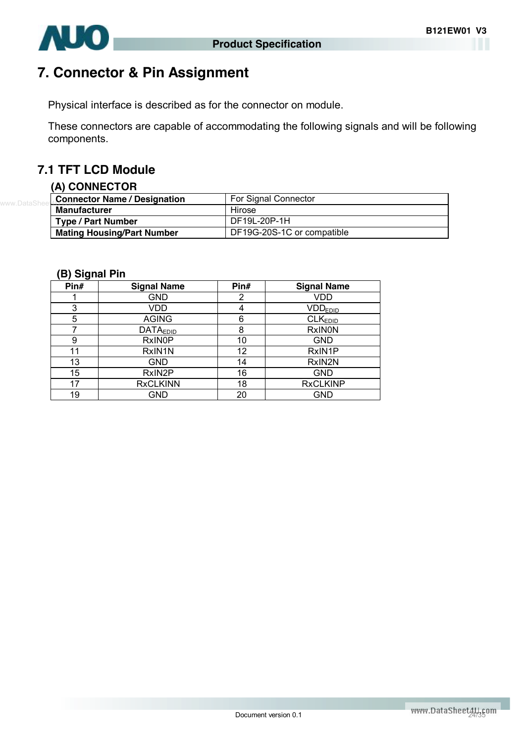

# **7. Connector & Pin Assignment**

Physical interface is described as for the connector on module.

These connectors are capable of accommodating the following signals and will be following components.

### **7.1 TFT LCD Module**

#### **(A) CONNECTOR**

| Connector Name / Designation      | For Signal Connector       |
|-----------------------------------|----------------------------|
| <b>Manufacturer</b>               | Hirose                     |
| <b>Type / Part Number</b>         | DF19L-20P-1H               |
| <b>Mating Housing/Part Number</b> | DF19G-20S-1C or compatible |

#### **(B) Signal Pin**

| Pin# | <b>Signal Name</b> | Pin# | <b>Signal Name</b>  |
|------|--------------------|------|---------------------|
|      | <b>GND</b>         | 2    | <b>VDD</b>          |
| 3    | VDD                | 4    | <b>VDDEDID</b>      |
| 5    | <b>AGING</b>       | 6    | CLK <sub>EDID</sub> |
|      | <b>DATAEDID</b>    | 8    | <b>RxINON</b>       |
| 9    | <b>RxINOP</b>      | 10   | <b>GND</b>          |
| 11   | RxIN1N             | 12   | RxIN1P              |
| 13   | <b>GND</b>         | 14   | RxIN2N              |
| 15   | RxIN2P             | 16   | <b>GND</b>          |
| 17   | <b>RxCLKINN</b>    | 18   | <b>RxCLKINP</b>     |
| 19   | GND                | 20   | <b>GND</b>          |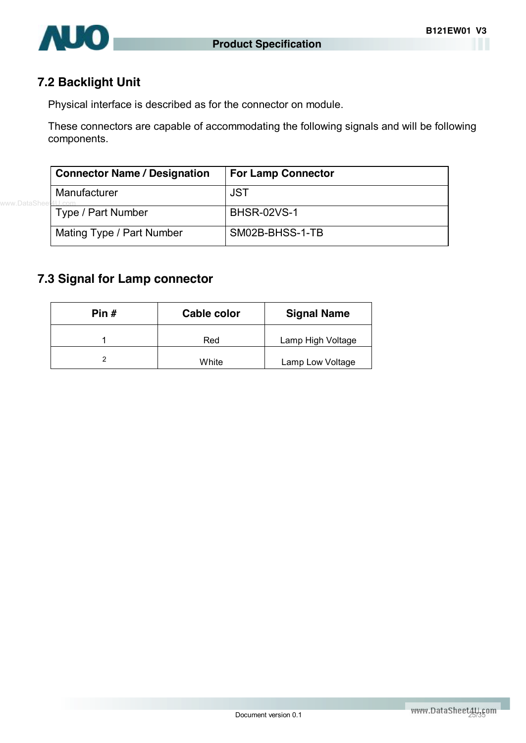

### **7.2 Backlight Unit**

Physical interface is described as for the connector on module.

These connectors are capable of accommodating the following signals and will be following components.

| <b>Connector Name / Designation</b> | <b>For Lamp Connector</b> |
|-------------------------------------|---------------------------|
| Manufacturer                        | <b>JST</b>                |
| Type / Part Number                  | <b>BHSR-02VS-1</b>        |
| Mating Type / Part Number           | SM02B-BHSS-1-TB           |

#### **7.3 Signal for Lamp connector**

| Pin $#$ | Cable color | <b>Signal Name</b> |
|---------|-------------|--------------------|
|         | Red         | Lamp High Voltage  |
|         | White       | Lamp Low Voltage   |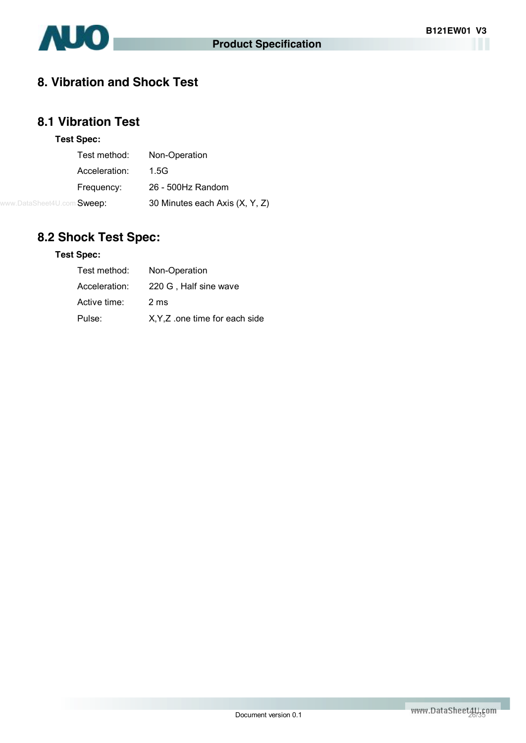

### **8. Vibration and Shock Test**

### **8.1 Vibration Test**

#### **Test Spec:**

| Test method:                      | Non-Operation                  |
|-----------------------------------|--------------------------------|
| Acceleration:                     | 1.5G                           |
| Frequency:                        | 26 - 500Hz Random              |
| www.DataSheet4U.com <b>Sweep:</b> | 30 Minutes each Axis (X, Y, Z) |

## **8.2 Shock Test Spec:**

#### **Test Spec:**

| Test method:  | Non-Operation                  |
|---------------|--------------------------------|
| Acceleration: | 220 G, Half sine wave          |
| Active time:  | 2 <sub>ms</sub>                |
| Pulse:        | X, Y, Z one time for each side |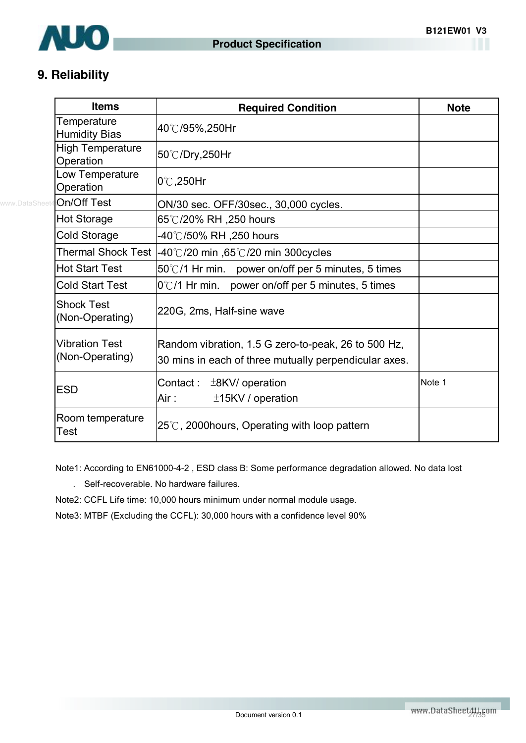

## **9. Reliability**

| <b>Items</b>                             | <b>Required Condition</b>                                                                                    | <b>Note</b> |
|------------------------------------------|--------------------------------------------------------------------------------------------------------------|-------------|
| Temperature<br><b>Humidity Bias</b>      | 40℃/95%,250Hr                                                                                                |             |
| <b>High Temperature</b><br>Operation     | 50℃/Dry,250Hr                                                                                                |             |
| Low Temperature<br>Operation             | $0^{\circ}$ C, 250Hr                                                                                         |             |
| On/Off Test                              | ON/30 sec. OFF/30sec., 30,000 cycles.                                                                        |             |
| <b>Hot Storage</b>                       | 65°℃/20% RH ,250 hours                                                                                       |             |
| Cold Storage                             | -40℃/50% RH ,250 hours                                                                                       |             |
|                                          | Thermal Shock Test $ -40^{\circ}\text{C}/20$ min $,65^{\circ}\text{C}/20$ min 300cycles                      |             |
| <b>Hot Start Test</b>                    | $50^{\circ}$ C/1 Hr min. power on/off per 5 minutes, 5 times                                                 |             |
| <b>Cold Start Test</b>                   | $0^{\circ}$ C/1 Hr min. power on/off per 5 minutes, 5 times                                                  |             |
| <b>Shock Test</b><br>(Non-Operating)     | 220G, 2ms, Half-sine wave                                                                                    |             |
| <b>Vibration Test</b><br>(Non-Operating) | Random vibration, 1.5 G zero-to-peak, 26 to 500 Hz,<br>30 mins in each of three mutually perpendicular axes. |             |
| <b>ESD</b>                               | Contact: $\pm$ 8KV/ operation<br>Air:<br>±15KV / operation                                                   | Note 1      |
| Room temperature<br>Test                 | $25^{\circ}$ C, 2000 hours, Operating with loop pattern                                                      |             |

Note1: According to EN61000-4-2 , ESD class B: Some performance degradation allowed. No data lost

. Self-recoverable. No hardware failures.

Note2: CCFL Life time: 10,000 hours minimum under normal module usage.

Note3: MTBF (Excluding the CCFL): 30,000 hours with a confidence level 90%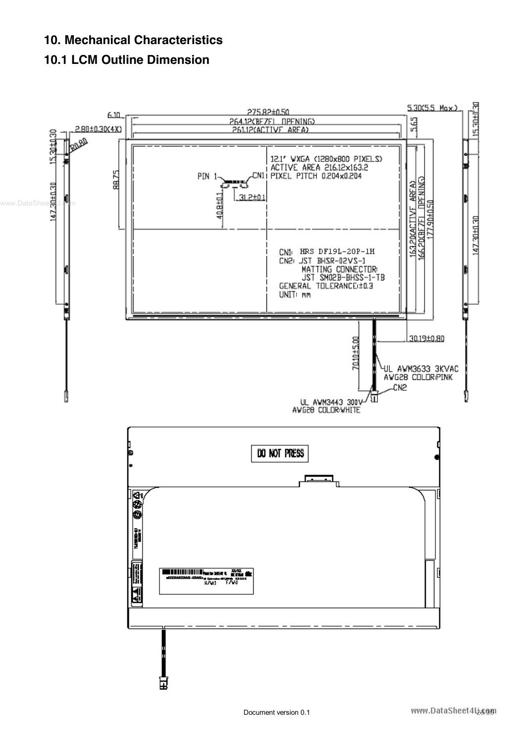### **10. Mechanical Characteristics**

### **10.1 LCM Outline Dimension**

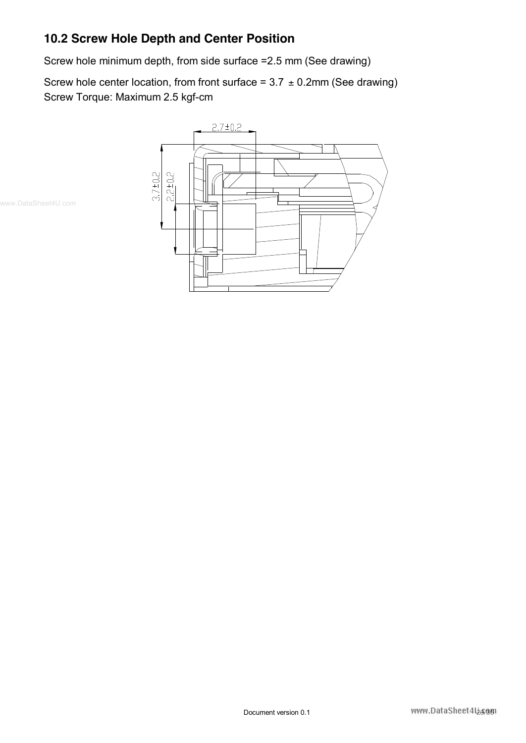## **10.2 Screw Hole Depth and Center Position**

Screw hole minimum depth, from side surface =2.5 mm (See drawing)

Screw hole center location, from front surface =  $3.7 \pm 0.2$ mm (See drawing) Screw Torque: Maximum 2.5 kgf-cm



www.DataSheet4U.com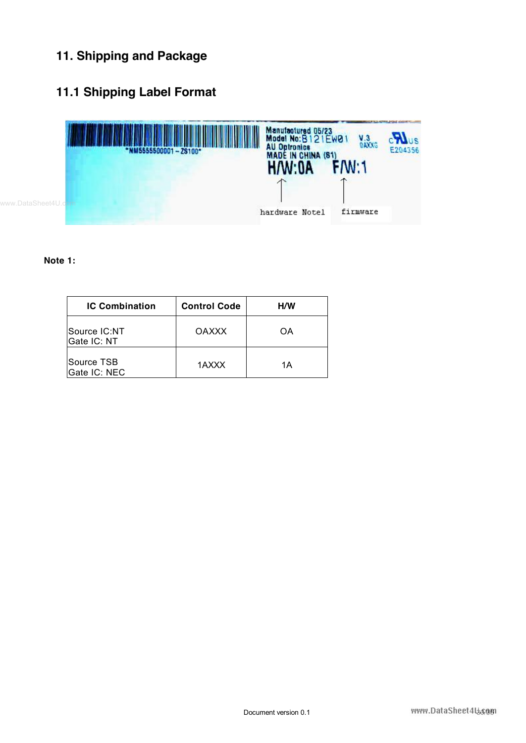## **11. Shipping and Package**

## **11.1 Shipping Label Format**



#### **Note 1:**

| <b>IC Combination</b>       | <b>Control Code</b> | <b>H/W</b> |  |  |
|-----------------------------|---------------------|------------|--|--|
| Source IC:NT<br>Gate IC: NT | <b>OAXXX</b>        | OΑ         |  |  |
| lSource TSB<br>Gate IC: NEC | 1AXXX               | 1Α         |  |  |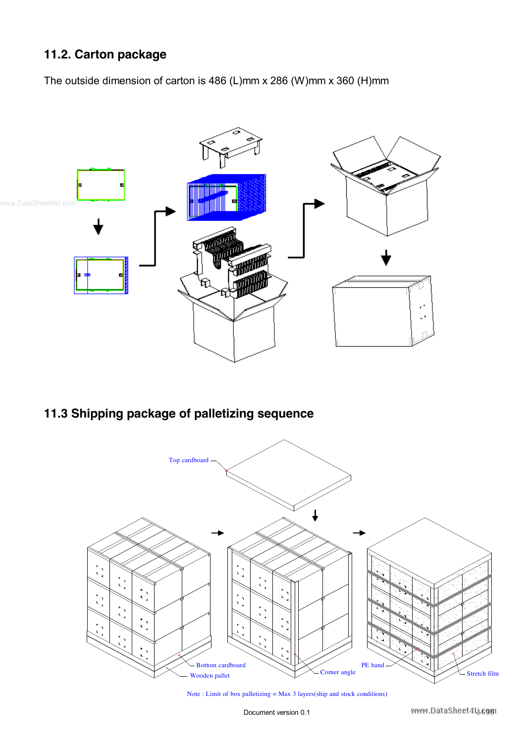### **11.2. Carton package**

The outside dimension of carton is 486 (L)mm x 286 (W)mm x 360 (H)mm



### **11.3 Shipping package of palletizing sequence**



Note : Limit of box palletizing = Max 3 layers(ship and stock conditions)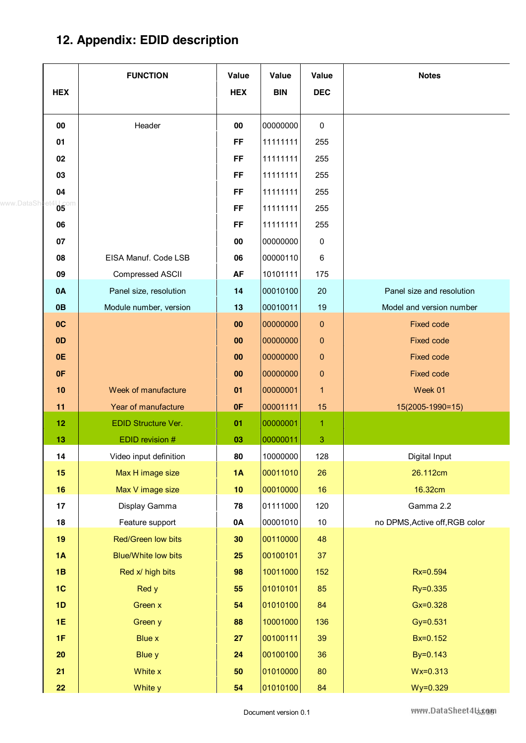# **12. Appendix: EDID description**

|              | <b>HEX</b>           | <b>FUNCTION</b>            | Value<br><b>HEX</b> | Value<br><b>BIN</b> | Value<br><b>DEC</b> | <b>Notes</b>                   |
|--------------|----------------------|----------------------------|---------------------|---------------------|---------------------|--------------------------------|
|              |                      |                            |                     |                     |                     |                                |
|              | 00                   | Header                     | 00                  | 00000000            | 0                   |                                |
|              | 01                   |                            | <b>FF</b>           | 11111111            | 255                 |                                |
|              | 02                   |                            | <b>FF</b>           | 11111111            | 255                 |                                |
|              | 03                   |                            | <b>FF</b>           | 11111111            | 255                 |                                |
|              | 04                   |                            | <b>FF</b>           | 11111111            | 255                 |                                |
| www.DataShee | $^{4}$ 05 $^{\circ}$ |                            | <b>FF</b>           | 11111111            | 255                 |                                |
|              | 06                   |                            | <b>FF</b>           | 11111111            | 255                 |                                |
|              | 07                   |                            | 00                  | 00000000            | 0                   |                                |
|              | 08                   | EISA Manuf. Code LSB       | 06                  | 00000110            | 6                   |                                |
|              | 09                   | Compressed ASCII           | <b>AF</b>           | 10101111            | 175                 |                                |
|              | 0A                   | Panel size, resolution     | 14                  | 00010100            | 20                  | Panel size and resolution      |
|              | 0B                   | Module number, version     | 13                  | 00010011            | 19                  | Model and version number       |
|              | OC                   |                            | 00                  | 00000000            | $\pmb{0}$           | <b>Fixed code</b>              |
|              | 0 <sub>D</sub>       |                            | 00                  | 00000000            | $\pmb{0}$           | <b>Fixed code</b>              |
|              | 0E                   |                            | 00                  | 00000000            | $\pmb{0}$           | <b>Fixed code</b>              |
|              | 0F                   |                            | 00                  | 00000000            | $\pmb{0}$           | <b>Fixed code</b>              |
|              | 10                   | Week of manufacture        | 01                  | 00000001            | $\mathbf{1}$        | Week 01                        |
|              | 11                   | Year of manufacture        | 0F                  | 00001111            | 15                  | 15(2005-1990=15)               |
|              | 12                   | <b>EDID Structure Ver.</b> | 01                  | 00000001            | $\mathbf{1}$        |                                |
|              | 13                   | EDID revision #            | 03                  | 00000011            | 3                   |                                |
|              | 14                   | Video input definition     | 80                  | 10000000            | 128                 | Digital Input                  |
|              | 15                   | Max H image size           | 1A                  | 00011010            | 26                  | 26.112cm                       |
|              | 16                   | Max V image size           | 10                  | 00010000            | 16                  | 16.32cm                        |
|              | 17                   | Display Gamma              | 78                  | 01111000            | 120                 | Gamma 2.2                      |
|              | 18                   | Feature support            | 0A                  | 00001010            | 10                  | no DPMS, Active off, RGB color |
|              | 19                   | Red/Green low bits         | 30                  | 00110000            | 48                  |                                |
|              | 1A                   | <b>Blue/White low bits</b> | 25                  | 00100101            | 37                  |                                |
|              | 1B                   | Red x/ high bits           | 98                  | 10011000            | 152                 | Rx=0.594                       |
|              | 1 <sub>C</sub>       | Red y                      | 55                  | 01010101            | 85                  | Ry=0.335                       |
|              | 1D                   | Green x                    | 54                  | 01010100            | 84                  | $Gx = 0.328$                   |
|              | <b>1E</b>            | Green y                    | 88                  | 10001000            | 136                 | Gy=0.531                       |
|              | 1F                   | <b>Blue x</b>              | 27                  | 00100111            | 39                  | Bx=0.152                       |
|              | 20                   | <b>Blue y</b>              | 24                  | 00100100            | 36                  | By=0.143                       |
|              | 21                   | White x                    | 50                  | 01010000            | 80                  | Wx=0.313                       |
|              | 22                   | White y                    | 54                  | 01010100            | 84                  | Wy=0.329                       |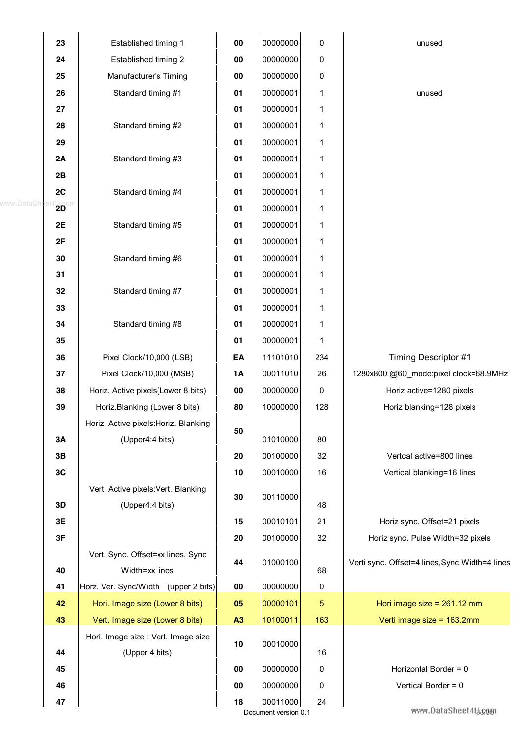|              | 23         | Established timing 1                  | 00        | 00000000                         | 0          | unused                                         |
|--------------|------------|---------------------------------------|-----------|----------------------------------|------------|------------------------------------------------|
|              | 24         | Established timing 2                  | 00        | 00000000                         | 0          |                                                |
|              | 25         | Manufacturer's Timing                 | 00        | 00000000                         | 0          |                                                |
|              | 26         | Standard timing #1                    | 01        | 00000001                         | 1          | unused                                         |
|              | 27         |                                       | 01        | 00000001                         | 1          |                                                |
|              | 28         | Standard timing #2                    | 01        | 00000001                         | 1          |                                                |
|              | 29         |                                       | 01        | 00000001                         | 1          |                                                |
|              | 2A         | Standard timing #3                    | 01        | 00000001                         | 1          |                                                |
|              | 2B         |                                       | 01        | 00000001                         | 1          |                                                |
|              | 2C         | Standard timing #4                    | 01        | 00000001                         | 1          |                                                |
| www.DataShee | $20^\circ$ |                                       | 01        | 00000001                         | 1          |                                                |
|              | 2E         | Standard timing #5                    | 01        | 00000001                         | 1          |                                                |
|              | 2F         |                                       | 01        | 00000001                         | 1          |                                                |
|              | 30         | Standard timing #6                    | 01        | 00000001                         | 1          |                                                |
|              | 31         |                                       | 01        | 00000001                         | 1          |                                                |
|              | 32         | Standard timing #7                    | 01        | 00000001                         | 1          |                                                |
|              | 33         |                                       | 01        | 00000001                         | 1          |                                                |
|              | 34         | Standard timing #8                    | 01        | 00000001                         | 1          |                                                |
|              | 35         |                                       | 01        | 00000001                         | 1          |                                                |
|              | 36         | Pixel Clock/10,000 (LSB)              | EA        | 11101010                         | 234        | Timing Descriptor #1                           |
|              | 37         | Pixel Clock/10,000 (MSB)              | <b>1A</b> | 00011010                         | 26         | 1280x800 @60 mode:pixel clock=68.9MHz          |
|              | 38         | Horiz. Active pixels(Lower 8 bits)    | 00        | 00000000                         | 0          | Horiz active=1280 pixels                       |
|              | 39         | Horiz.Blanking (Lower 8 bits)         | 80        | 10000000                         | 128        | Horiz blanking=128 pixels                      |
|              |            | Horiz. Active pixels: Horiz. Blanking | 50        |                                  |            |                                                |
|              | 3A         | (Upper4:4 bits)                       |           | 01010000                         | 80         |                                                |
|              | 3B         |                                       | 20        | 00100000                         | 32         | Vertcal active=800 lines                       |
|              | 3C         |                                       | 10        | 00010000                         | 16         | Vertical blanking=16 lines                     |
|              |            | Vert. Active pixels: Vert. Blanking   | 30        | 00110000                         |            |                                                |
|              | 3D         | (Upper4:4 bits)                       |           |                                  | 48         |                                                |
|              | 3E         |                                       | 15        | 00010101                         | 21         | Horiz sync. Offset=21 pixels                   |
|              | 3F         |                                       | 20        | 00100000                         | 32         | Horiz sync. Pulse Width=32 pixels              |
|              |            | Vert. Sync. Offset=xx lines, Sync     | 44        | 01000100                         |            | Verti sync. Offset=4 lines, Sync Width=4 lines |
|              | 40         | Width=xx lines                        |           |                                  | 68         |                                                |
|              | 41         | Horz. Ver. Sync/Width (upper 2 bits)  | 00        | 00000000                         | $\pmb{0}$  |                                                |
|              | 42         | Hori. Image size (Lower 8 bits)       | 05        | 00000101                         | $\sqrt{5}$ | Hori image size = $261.12$ mm                  |
|              | 43         | Vert. Image size (Lower 8 bits)       | A3        | 10100011                         | 163        | Verti image size = 163.2mm                     |
|              |            | Hori. Image size : Vert. Image size   | 10        | 00010000                         |            |                                                |
|              | 44         | (Upper 4 bits)                        |           |                                  | 16         |                                                |
|              | 45         |                                       | 00        | 00000000                         | 0          | Horizontal Border = 0                          |
|              | 46         |                                       | 00        | 00000000                         | 0          | Vertical Border = 0                            |
|              | 47         |                                       | 18        | 00011000<br>Document version 0.1 | 24         | www.DataSheet4ls3/881                          |
|              |            |                                       |           |                                  |            |                                                |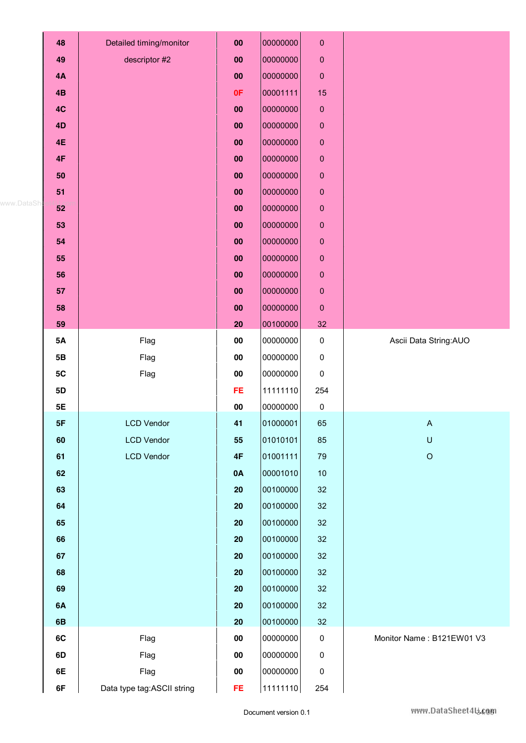|             | 48        | Detailed timing/monitor    | 00            | 00000000 | $\pmb{0}$   |                           |
|-------------|-----------|----------------------------|---------------|----------|-------------|---------------------------|
|             | 49        | descriptor #2              | 00            | 00000000 | $\pmb{0}$   |                           |
|             | 4A        |                            | 00            | 00000000 | $\pmb{0}$   |                           |
|             | 4B        |                            | 0F            | 00001111 | 15          |                           |
|             | 4C        |                            | 00            | 00000000 | $\mathbf 0$ |                           |
|             | 4D        |                            | 00            | 00000000 | $\pmb{0}$   |                           |
|             | <b>4E</b> |                            | 00            | 00000000 | $\mathbf 0$ |                           |
|             | 4F        |                            | 00            | 00000000 | $\pmb{0}$   |                           |
|             | 50        |                            | 00            | 00000000 | $\pmb{0}$   |                           |
|             | 51        |                            | 00            | 00000000 | $\pmb{0}$   |                           |
| www.DataShe | 52        |                            | 00            | 00000000 | $\pmb{0}$   |                           |
|             | 53        |                            | 00            | 00000000 | $\pmb{0}$   |                           |
|             | 54        |                            | 00            | 00000000 | $\pmb{0}$   |                           |
|             | 55        |                            | 00            | 00000000 | $\pmb{0}$   |                           |
|             | 56        |                            | 00            | 00000000 | $\pmb{0}$   |                           |
|             | 57        |                            | 00            | 00000000 | $\pmb{0}$   |                           |
|             | 58        |                            | 00            | 00000000 | $\pmb{0}$   |                           |
|             | 59        |                            | 20            | 00100000 | 32          |                           |
|             | 5A        | Flag                       | 00            | 00000000 | 0           | Ascii Data String: AUO    |
|             | 5B        | Flag                       | 00            | 00000000 | 0           |                           |
|             | 5C        | Flag                       | 00            | 00000000 | 0           |                           |
|             | 5D        |                            | <b>FE</b>     | 11111110 | 254         |                           |
|             | 5E        |                            | ${\bf 00}$    | 00000000 | $\pmb{0}$   |                           |
|             | 5F        | <b>LCD Vendor</b>          | 41            | 01000001 | 65          | A                         |
|             | 60        | <b>LCD Vendor</b>          | 55            | 01010101 | 85          | $\sf U$                   |
|             | 61        | <b>LCD Vendor</b>          | $4\mathsf{F}$ | 01001111 | 79          | $\mathsf O$               |
|             | 62        |                            | 0A            | 00001010 | 10          |                           |
|             | 63        |                            | 20            | 00100000 | 32          |                           |
|             | 64        |                            | 20            | 00100000 | 32          |                           |
|             | 65        |                            | 20            | 00100000 | 32          |                           |
|             | 66        |                            | 20            | 00100000 | 32          |                           |
|             | 67        |                            | 20            | 00100000 | 32          |                           |
|             | 68        |                            | 20            | 00100000 | 32          |                           |
|             | 69        |                            | 20            | 00100000 | 32          |                           |
|             | 6A        |                            | 20            | 00100000 | 32          |                           |
|             | 6B        |                            | 20            | 00100000 | 32          |                           |
|             | 6C        | Flag                       | $\bf{00}$     | 00000000 | 0           | Monitor Name: B121EW01 V3 |
|             | 6D        | Flag                       | 00            | 00000000 | $\pmb{0}$   |                           |
|             | 6E        | Flag                       | $\bf{00}$     | 00000000 | 0           |                           |
|             | 6F        | Data type tag:ASCII string | FE.           | 11111110 | 254         |                           |